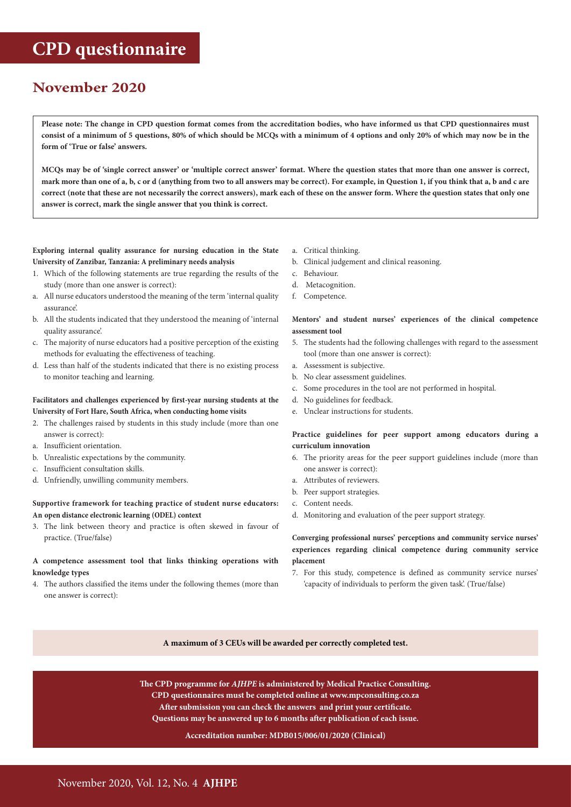# **CPD questionnaire**

# **November 2020**

**Please note: The change in CPD question format comes from the accreditation bodies, who have informed us that CPD questionnaires must consist of a minimum of 5 questions, 80% of which should be MCQs with a minimum of 4 options and only 20% of which may now be in the form of 'True or false' answers.** 

**MCQs may be of 'single correct answer' or 'multiple correct answer' format. Where the question states that more than one answer is correct, mark more than one of a, b, c or d (anything from two to all answers may be correct). For example, in Question 1, if you think that a, b and c are correct (note that these are not necessarily the correct answers), mark each of these on the answer form. Where the question states that only one answer is correct, mark the single answer that you think is correct.**

**Exploring internal quality assurance for nursing education in the State University of Zanzibar, Tanzania: A preliminary needs analysis**

- 1. Which of the following statements are true regarding the results of the study (more than one answer is correct):
- a. All nurse educators understood the meaning of the term 'internal quality assurance'.
- b. All the students indicated that they understood the meaning of 'internal quality assurance'.
- c. The majority of nurse educators had a positive perception of the existing methods for evaluating the effectiveness of teaching.
- d. Less than half of the students indicated that there is no existing process to monitor teaching and learning.

## **Facilitators and challenges experienced by first-year nursing students at the University of Fort Hare, South Africa, when conducting home visits**

- 2. The challenges raised by students in this study include (more than one answer is correct):
- a. Insufficient orientation.
- b. Unrealistic expectations by the community.
- c. Insufficient consultation skills.
- d. Unfriendly, unwilling community members.

### **Supportive framework for teaching practice of student nurse educators: An open distance electronic learning (ODEL) context**

3. The link between theory and practice is often skewed in favour of practice. (True/false)

### **A competence assessment tool that links thinking operations with knowledge types**

4. The authors classified the items under the following themes (more than one answer is correct):

- a. Critical thinking.
- b. Clinical judgement and clinical reasoning.
- c. Behaviour.
- d. Metacognition.
- f. Competence.

### **Mentors' and student nurses' experiences of the clinical competence assessment tool**

- 5. The students had the following challenges with regard to the assessment tool (more than one answer is correct):
- a. Assessment is subjective.
- b. No clear assessment guidelines.
- c. Some procedures in the tool are not performed in hospital.
- d. No guidelines for feedback.
- e. Unclear instructions for students.

### **Practice guidelines for peer support among educators during a curriculum innovation**

- 6. The priority areas for the peer support guidelines include (more than one answer is correct):
- a. Attributes of reviewers.
- b. Peer support strategies.
- c. Content needs.
- d. Monitoring and evaluation of the peer support strategy.

## **Converging professional nurses' perceptions and community service nurses' experiences regarding clinical competence during community service placement**

7. For this study, competence is defined as community service nurses' 'capacity of individuals to perform the given task'. (True/false)

**A maximum of 3 CEUs will be awarded per correctly completed test.**

**The CPD programme for** *AJHPE* **is administered by Medical Practice Consulting. CPD questionnaires must be completed online at www.mpconsulting.co.za After submission you can check the answers and print your certificate. Questions may be answered up to 6 months after publication of each issue.**

#### **Accreditation number: MDB015/006/01/2020 (Clinical)**